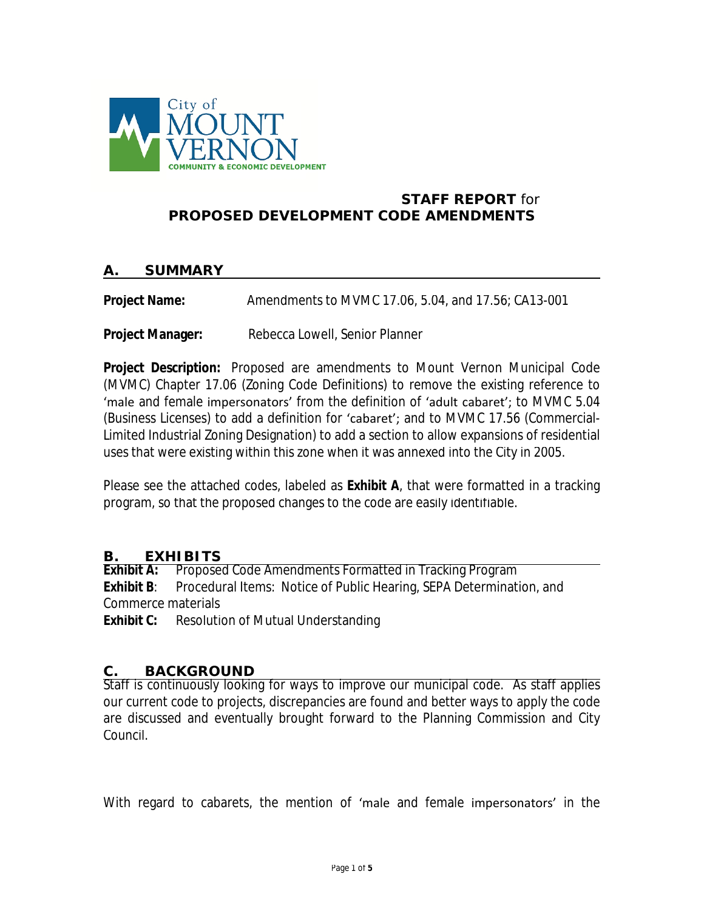

#### **STAFF REPORT** *for* **PROPOSED DEVELOPMENT CODE AMENDMENTS**

#### **A. SUMMARY**

**Project Name:** Amendments to MVMC 17.06, 5.04, and 17.56; CA13-001

**Project Manager:** Rebecca Lowell, Senior Planner

**Project Description:** Proposed are amendments to Mount Vernon Municipal Code (MVMC) Chapter 17.06 (Zoning Code Definitions) to remove the existing reference to 'male and female impersonators' from the definition of 'adult cabaret'; to MVMC 5.04 (Business Licenses) to add a definition for 'cabaret'; and to MVMC 17.56 (Commercial-Limited Industrial Zoning Designation) to add a section to allow expansions of residential uses that were existing within this zone when it was annexed into the City in 2005.

Please see the attached codes, labeled as **Exhibit A**, that were formatted in a tracking program, so that the proposed changes to the code are easily identifiable.

# **B. EXHIBITS**<br>**Exhibit A: Propose**

**Exhibit A:** Proposed Code Amendments Formatted in Tracking Program **Exhibit B**: Procedural Items: Notice of Public Hearing, SEPA Determination, and Commerce materials

**Exhibit C:** Resolution of Mutual Understanding

#### **C. BACKGROUND**

Staff is continuously looking for ways to improve our municipal code. As staff applies our current code to projects, discrepancies are found and better ways to apply the code are discussed and eventually brought forward to the Planning Commission and City Council.

With regard to cabarets, the mention of 'male and female impersonators' in the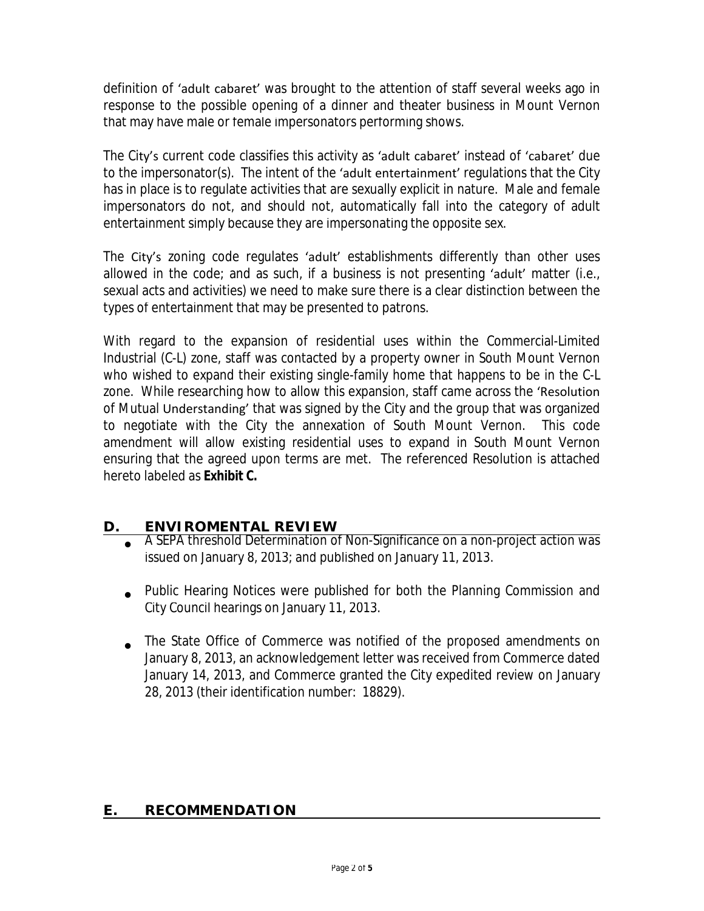definition of 'adult cabaret' was brought to the attention of staff several weeks ago in response to the possible opening of a dinner and theater business in Mount Vernon that may have male or female impersonators performing shows.

The City's current code classifies this activity as 'adult cabaret' instead of 'cabaret' due to the impersonator(s). The intent of the 'adult entertainment' regulations that the City has in place is to regulate activities that are sexually explicit in nature. Male and female impersonators do not, and should not, automatically fall into the category of adult entertainment simply because they are impersonating the opposite sex.

The City's zoning code regulates 'adult' establishments differently than other uses allowed in the code; and as such, if a business is not presenting 'adult' matter (i.e., sexual acts and activities) we need to make sure there is a clear distinction between the types of entertainment that may be presented to patrons.

With regard to the expansion of residential uses within the Commercial-Limited Industrial (C-L) zone, staff was contacted by a property owner in South Mount Vernon who wished to expand their existing single-family home that happens to be in the C-L zone. While researching how to allow this expansion, staff came across the 'Resolution of Mutual Understanding' that was signed by the City and the group that was organized to negotiate with the City the annexation of South Mount Vernon. This code amendment will allow existing residential uses to expand in South Mount Vernon ensuring that the agreed upon terms are met. The referenced Resolution is attached hereto labeled as **Exhibit C.**

# **D. ENVIROMENTAL REVIEW**

- $\bullet$ A SEPA threshold Determination of Non-Significance on a non-project action was issued on January 8, 2013; and published on January 11, 2013.
- Public Hearing Notices were published for both the Planning Commission and City Council hearings on January 11, 2013.
- The State Office of Commerce was notified of the proposed amendments on January 8, 2013, an acknowledgement letter was received from Commerce dated January 14, 2013, and Commerce granted the City expedited review on January 28, 2013 (their identification number: 18829).

## **E. RECOMMENDATION**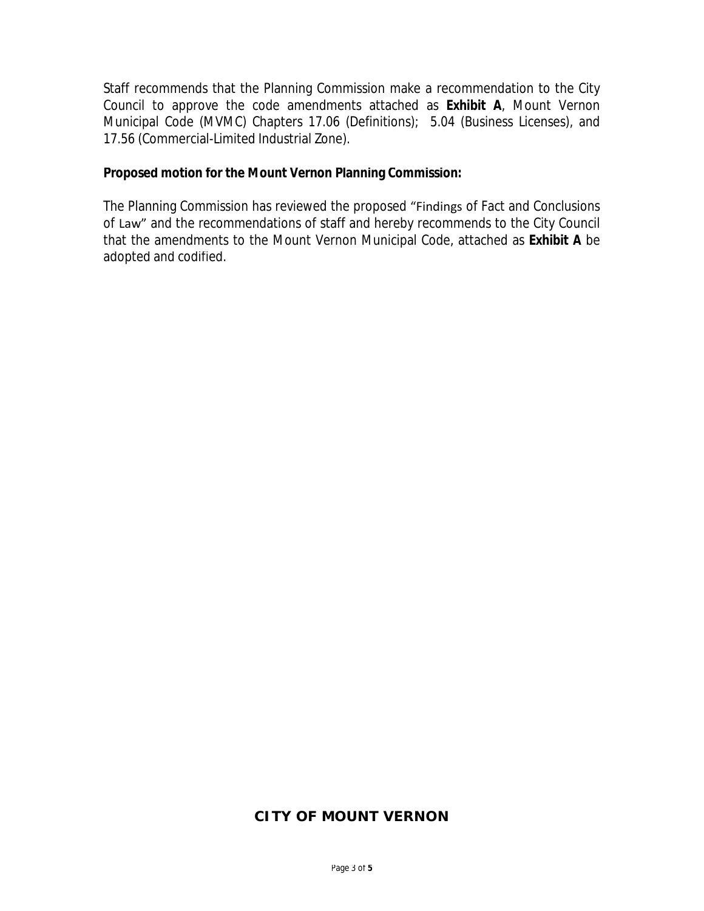Staff recommends that the Planning Commission make a recommendation to the City Council to approve the code amendments attached as **Exhibit A**, Mount Vernon Municipal Code (MVMC) Chapters 17.06 (Definitions); 5.04 (Business Licenses), and 17.56 (Commercial-Limited Industrial Zone).

#### **Proposed motion for the Mount Vernon Planning Commission:**

The Planning Commission has reviewed the proposed "Findings of Fact and Conclusions of Law" and the recommendations of staff and hereby recommends to the City Council that the amendments to the Mount Vernon Municipal Code, attached as **Exhibit A** be adopted and codified.

## **CITY OF MOUNT VERNON**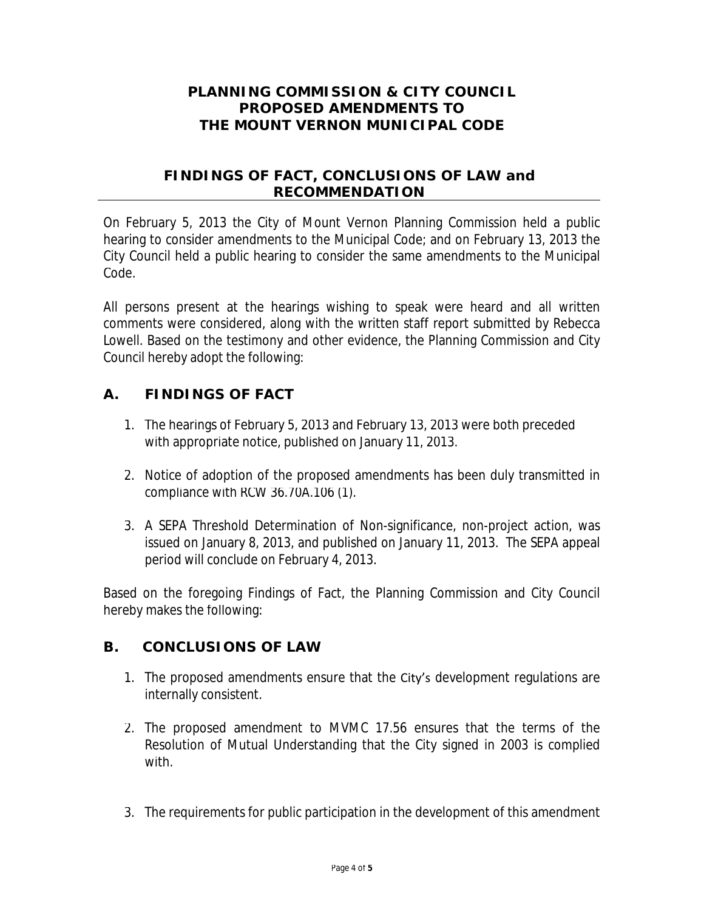## **PLANNING COMMISSION & CITY COUNCIL PROPOSED AMENDMENTS TO THE MOUNT VERNON MUNICIPAL CODE**

### **FINDINGS OF FACT, CONCLUSIONS OF LAW and RECOMMENDATION**

On February 5, 2013 the City of Mount Vernon Planning Commission held a public hearing to consider amendments to the Municipal Code; and on February 13, 2013 the City Council held a public hearing to consider the same amendments to the Municipal Code.

All persons present at the hearings wishing to speak were heard and all written comments were considered, along with the written staff report submitted by Rebecca Lowell. Based on the testimony and other evidence, the Planning Commission and City Council hereby adopt the following:

# **A. FINDINGS OF FACT**

- 1. The hearings of February 5, 2013 and February 13, 2013 were both preceded with appropriate notice, published on January 11, 2013.
- 2. Notice of adoption of the proposed amendments has been duly transmitted in compliance with RCW 36.70A.106 (1).
- 3. A SEPA Threshold Determination of Non-significance, non-project action, was issued on January 8, 2013, and published on January 11, 2013. The SEPA appeal period will conclude on February 4, 2013.

Based on the foregoing Findings of Fact, the Planning Commission and City Council hereby makes the following:

# **B. CONCLUSIONS OF LAW**

- 1. The proposed amendments ensure that the City's development regulations are internally consistent.
- 2. The proposed amendment to MVMC 17.56 ensures that the terms of the Resolution of Mutual Understanding that the City signed in 2003 is complied with.
- 3. The requirements for public participation in the development of this amendment